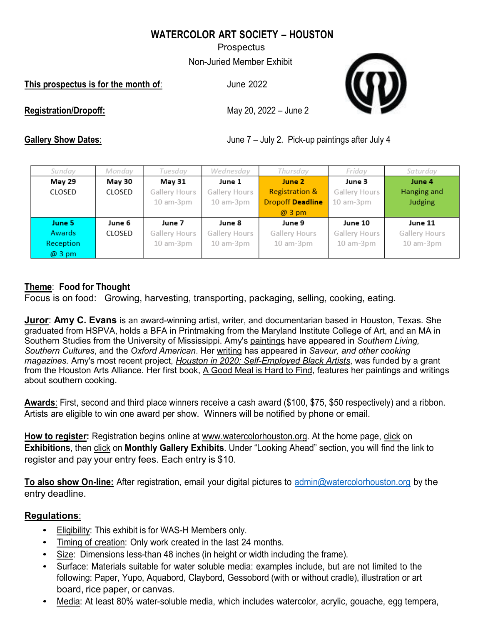# **WATERCOLOR ART SOCIETY – HOUSTON**

**Prospectus** 

Non-Juried Member Exhibit

**This prospectus is for the month of**: June 2022



**Registration/Dropoff:** May 20, 2022 – June 2

**Gallery Show Dates:** Gallery Show Dates:  $\frac{1}{4}$  June 7 – July 2. Pick-up paintings after July 4

| Sunday        | Monday | Tuesday       | Wednesday       | Thursday                  | Friday          | Saturday        |
|---------------|--------|---------------|-----------------|---------------------------|-----------------|-----------------|
| May 29        | May 30 | May 31        | June 1          | June 2                    | June 3          | June 4          |
| CLOSED        | CLOSED | Gallery Hours | Gallery Hours   | <b>Registration &amp;</b> | Gallery Hours   | Hanging and     |
|               |        | 10 am-3pm     | $10$ am- $3$ pm | <b>Dropoff Deadline</b>   | $10$ am- $3$ pm | <b>Judging</b>  |
|               |        |               |                 | $@3$ pm                   |                 |                 |
| June 5        | June 6 | June 7        | June 8          | June 9                    | June 10         | June 11         |
| <b>Awards</b> | CLOSED | Gallery Hours | Gallery Hours   | Gallery Hours             | Gallery Hours   | Gallery Hours   |
| Reception     |        | 10 am-3pm     | 10 am-3pm       | $10$ am- $3$ pm           | $10$ am- $3$ pm | $10$ am- $3$ pm |
| $@3$ pm       |        |               |                 |                           |                 |                 |

# **Theme**: **Food for Thought**

Focus is on food: Growing, harvesting, transporting, packaging, selling, cooking, eating.

**Juror**: **Amy C. Evans** is an award-winning artist, writer, and documentarian based in Houston, Texas. She graduated from HSPVA, holds a BFA in Printmaking from the Maryland Institute College of Art, and an MA in Southern Studies from the University of Mississippi. Amy's [paintings](https://www.amycevans.com/paintings) have appeared in *Southern Living, Southern Cultures*, and the *Oxford American*. Her [writing](https://www.amycevans.com/words) has appeared in *Saveur, and other cooking magazines.* Amy's most recent project, *Houston in 2020: [Self-Employed](https://www.houstonin2020.com/) Black Artists*, was funded by a grant from the Houston Arts Alliance. Her first book, A Good Meal is Hard to Find, features her paintings and writings about southern cooking.

**Awards**: First, second and third place winners receive a cash award (\$100, \$75, \$50 respectively) and a ribbon. Artists are eligible to win one award per show. Winners will be notified by phone or email.

**How to register:** Registration begins online at [www.watercolorhouston.org.](http://www.watercolorhouston.org/) At the home page, click on **Exhibitions**, then click on **Monthly Gallery Exhibits**. Under "Looking Ahead" section, you will find the link to register and pay your entry fees. Each entry is \$10.

**To also show On-line:** After registration, email your digital pictures to [admin@watercolorhouston.org](mailto:admin@watercolorhouston.org) by the entry deadline.

# **Regulations**:

- Eligibility: This exhibit is for WAS-H Members only.
- Timing of creation: Only work created in the last 24 months.
- Size: Dimensions less-than 48 inches (in height or width including the frame).
- Surface: Materials suitable for water soluble media: examples include, but are not limited to the following: Paper, Yupo, Aquabord, Claybord, Gessobord (with or without cradle), illustration or art board, rice paper, or canvas.
- Media: At least 80% water-soluble media, which includes watercolor, acrylic, gouache, egg tempera,